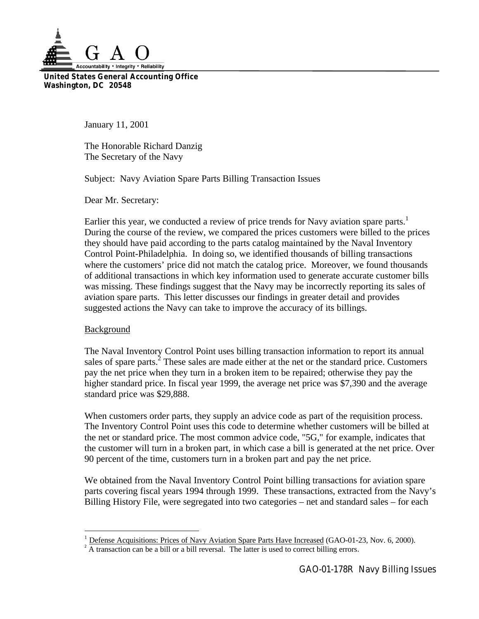

**United States General Accounting Office Washington, DC 20548**

January 11, 2001

The Honorable Richard Danzig The Secretary of the Navy

Subject: Navy Aviation Spare Parts Billing Transaction Issues

Dear Mr. Secretary:

Earlier this year, we conducted a review of price trends for Navy aviation spare parts.<sup>1</sup> During the course of the review, we compared the prices customers were billed to the prices they should have paid according to the parts catalog maintained by the Naval Inventory Control Point-Philadelphia. In doing so, we identified thousands of billing transactions where the customers' price did not match the catalog price. Moreover, we found thousands of additional transactions in which key information used to generate accurate customer bills was missing. These findings suggest that the Navy may be incorrectly reporting its sales of aviation spare parts. This letter discusses our findings in greater detail and provides suggested actions the Navy can take to improve the accuracy of its billings.

## Background

 $\overline{a}$ 

The Naval Inventory Control Point uses billing transaction information to report its annual sales of spare parts.<sup>2</sup> These sales are made either at the net or the standard price. Customers pay the net price when they turn in a broken item to be repaired; otherwise they pay the higher standard price. In fiscal year 1999, the average net price was \$7,390 and the average standard price was \$29,888.

When customers order parts, they supply an advice code as part of the requisition process. The Inventory Control Point uses this code to determine whether customers will be billed at the net or standard price. The most common advice code, "5G," for example, indicates that the customer will turn in a broken part, in which case a bill is generated at the net price. Over 90 percent of the time, customers turn in a broken part and pay the net price.

We obtained from the Naval Inventory Control Point billing transactions for aviation spare parts covering fiscal years 1994 through 1999. These transactions, extracted from the Navy's Billing History File, were segregated into two categories – net and standard sales – for each

<sup>1</sup> Defense Acquisitions: Prices of Navy Aviation Spare Parts Have Increased (GAO-01-23, Nov. 6, 2000).

 $^2$  A transaction can be a bill or a bill reversal. The latter is used to correct billing errors.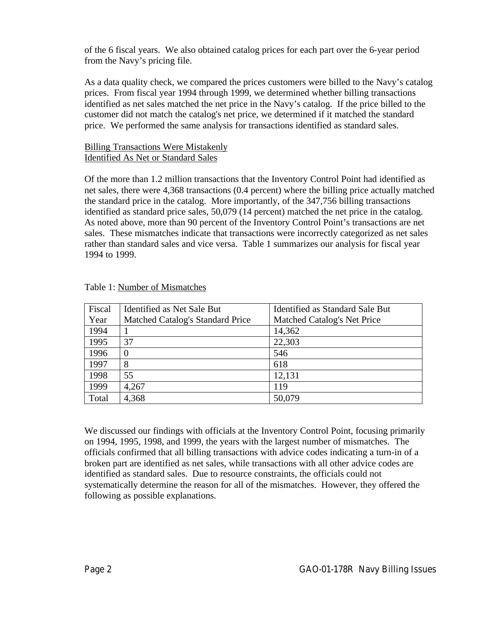of the 6 fiscal years. We also obtained catalog prices for each part over the 6-year period from the Navy's pricing file.

As a data quality check, we compared the prices customers were billed to the Navy's catalog prices. From fiscal year 1994 through 1999, we determined whether billing transactions identified as net sales matched the net price in the Navy's catalog. If the price billed to the customer did not match the catalog's net price, we determined if it matched the standard price. We performed the same analysis for transactions identified as standard sales.

## Billing Transactions Were Mistakenly Identified As Net or Standard Sales

Of the more than 1.2 million transactions that the Inventory Control Point had identified as net sales, there were 4,368 transactions (0.4 percent) where the billing price actually matched the standard price in the catalog. More importantly, of the 347,756 billing transactions identified as standard price sales, 50,079 (14 percent) matched the net price in the catalog. As noted above, more than 90 percent of the Inventory Control Point's transactions are net sales. These mismatches indicate that transactions were incorrectly categorized as net sales rather than standard sales and vice versa. Table 1 summarizes our analysis for fiscal year 1994 to 1999.

| Fiscal | Identified as Net Sale But       | Identified as Standard Sale But |
|--------|----------------------------------|---------------------------------|
| Year   | Matched Catalog's Standard Price | Matched Catalog's Net Price     |
| 1994   |                                  | 14,362                          |
| 1995   | 37                               | 22,303                          |
| 1996   |                                  | 546                             |
| 1997   | 8                                | 618                             |
| 1998   | 55                               | 12,131                          |
| 1999   | 4,267                            | 119                             |
| Total  | 4,368                            | 50,079                          |

| Table 1: Number of Mismatches |
|-------------------------------|
|-------------------------------|

We discussed our findings with officials at the Inventory Control Point, focusing primarily on 1994, 1995, 1998, and 1999, the years with the largest number of mismatches. The officials confirmed that all billing transactions with advice codes indicating a turn-in of a broken part are identified as net sales, while transactions with all other advice codes are identified as standard sales. Due to resource constraints, the officials could not systematically determine the reason for all of the mismatches. However, they offered the following as possible explanations.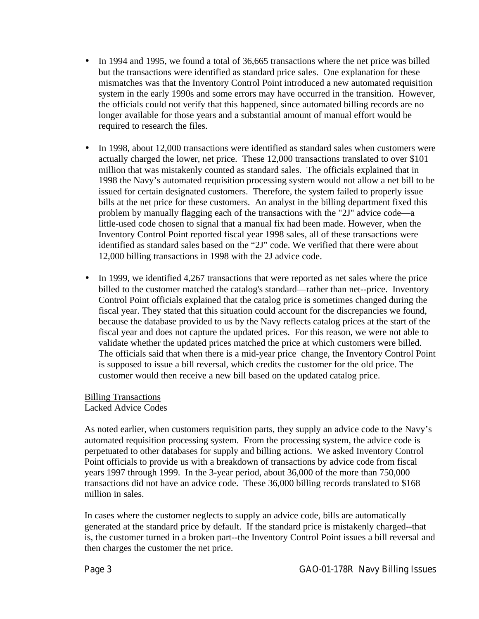- In 1994 and 1995, we found a total of 36,665 transactions where the net price was billed but the transactions were identified as standard price sales. One explanation for these mismatches was that the Inventory Control Point introduced a new automated requisition system in the early 1990s and some errors may have occurred in the transition. However, the officials could not verify that this happened, since automated billing records are no longer available for those years and a substantial amount of manual effort would be required to research the files.
- In 1998, about 12,000 transactions were identified as standard sales when customers were actually charged the lower, net price. These 12,000 transactions translated to over \$101 million that was mistakenly counted as standard sales. The officials explained that in 1998 the Navy's automated requisition processing system would not allow a net bill to be issued for certain designated customers. Therefore, the system failed to properly issue bills at the net price for these customers. An analyst in the billing department fixed this problem by manually flagging each of the transactions with the "2J" advice code—a little-used code chosen to signal that a manual fix had been made. However, when the Inventory Control Point reported fiscal year 1998 sales, all of these transactions were identified as standard sales based on the "2J" code. We verified that there were about 12,000 billing transactions in 1998 with the 2J advice code.
- In 1999, we identified 4,267 transactions that were reported as net sales where the price billed to the customer matched the catalog's standard—rather than net--price. Inventory Control Point officials explained that the catalog price is sometimes changed during the fiscal year. They stated that this situation could account for the discrepancies we found, because the database provided to us by the Navy reflects catalog prices at the start of the fiscal year and does not capture the updated prices. For this reason, we were not able to validate whether the updated prices matched the price at which customers were billed. The officials said that when there is a mid-year price change, the Inventory Control Point is supposed to issue a bill reversal, which credits the customer for the old price. The customer would then receive a new bill based on the updated catalog price.

## Billing Transactions Lacked Advice Codes

As noted earlier, when customers requisition parts, they supply an advice code to the Navy's automated requisition processing system. From the processing system, the advice code is perpetuated to other databases for supply and billing actions. We asked Inventory Control Point officials to provide us with a breakdown of transactions by advice code from fiscal years 1997 through 1999. In the 3-year period, about 36,000 of the more than 750,000 transactions did not have an advice code. These 36,000 billing records translated to \$168 million in sales.

In cases where the customer neglects to supply an advice code, bills are automatically generated at the standard price by default. If the standard price is mistakenly charged--that is, the customer turned in a broken part--the Inventory Control Point issues a bill reversal and then charges the customer the net price.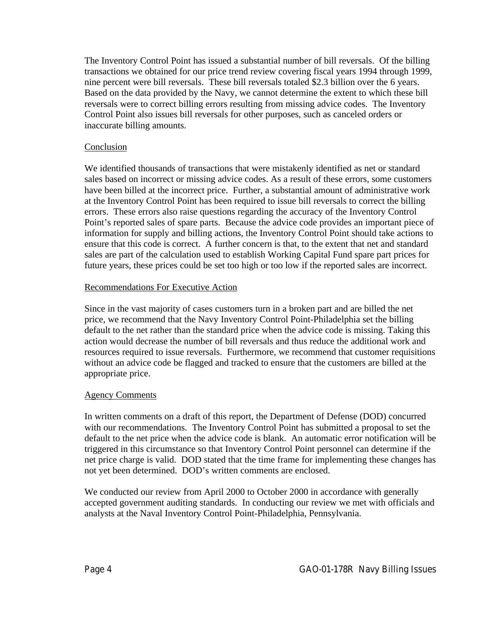The Inventory Control Point has issued a substantial number of bill reversals. Of the billing transactions we obtained for our price trend review covering fiscal years 1994 through 1999, nine percent were bill reversals. These bill reversals totaled \$2.3 billion over the 6 years. Based on the data provided by the Navy, we cannot determine the extent to which these bill reversals were to correct billing errors resulting from missing advice codes. The Inventory Control Point also issues bill reversals for other purposes, such as canceled orders or inaccurate billing amounts.

# Conclusion

We identified thousands of transactions that were mistakenly identified as net or standard sales based on incorrect or missing advice codes. As a result of these errors, some customers have been billed at the incorrect price. Further, a substantial amount of administrative work at the Inventory Control Point has been required to issue bill reversals to correct the billing errors. These errors also raise questions regarding the accuracy of the Inventory Control Point's reported sales of spare parts. Because the advice code provides an important piece of information for supply and billing actions, the Inventory Control Point should take actions to ensure that this code is correct. A further concern is that, to the extent that net and standard sales are part of the calculation used to establish Working Capital Fund spare part prices for future years, these prices could be set too high or too low if the reported sales are incorrect.

## Recommendations For Executive Action

Since in the vast majority of cases customers turn in a broken part and are billed the net price, we recommend that the Navy Inventory Control Point-Philadelphia set the billing default to the net rather than the standard price when the advice code is missing. Taking this action would decrease the number of bill reversals and thus reduce the additional work and resources required to issue reversals. Furthermore, we recommend that customer requisitions without an advice code be flagged and tracked to ensure that the customers are billed at the appropriate price.

# Agency Comments

In written comments on a draft of this report, the Department of Defense (DOD) concurred with our recommendations. The Inventory Control Point has submitted a proposal to set the default to the net price when the advice code is blank. An automatic error notification will be triggered in this circumstance so that Inventory Control Point personnel can determine if the net price charge is valid. DOD stated that the time frame for implementing these changes has not yet been determined. DOD's written comments are enclosed.

We conducted our review from April 2000 to October 2000 in accordance with generally accepted government auditing standards. In conducting our review we met with officials and analysts at the Naval Inventory Control Point-Philadelphia, Pennsylvania.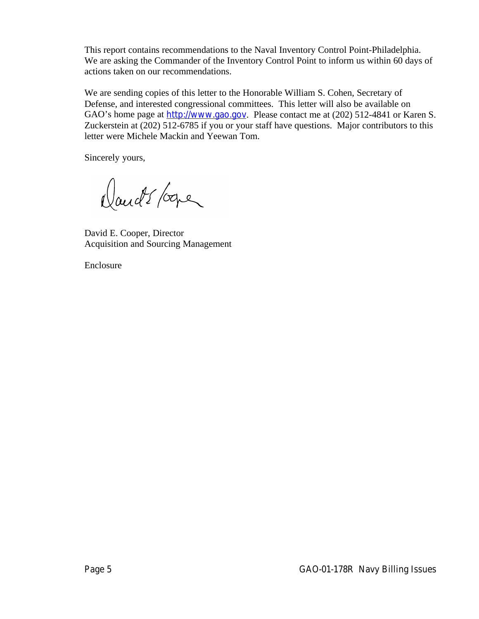This report contains recommendations to the Naval Inventory Control Point-Philadelphia. We are asking the Commander of the Inventory Control Point to inform us within 60 days of actions taken on our recommendations.

We are sending copies of this letter to the Honorable William S. Cohen, Secretary of Defense, and interested congressional committees. This letter will also be available on GAO's home page at **http://www.gao.gov**. Please contact me at (202) 512-4841 or Karen S. Zuckerstein at (202) 512-6785 if you or your staff have questions. Major contributors to this letter were Michele Mackin and Yeewan Tom.

Sincerely yours,

Dand's former

David E. Cooper, Director Acquisition and Sourcing Management

Enclosure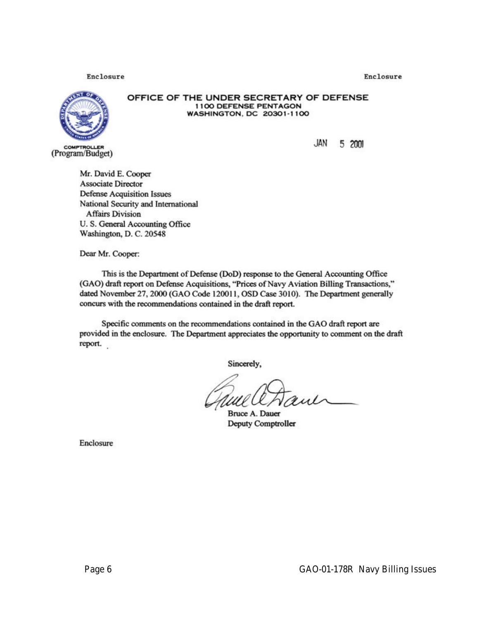Enclosure

Enclosure



#### OFFICE OF THE UNDER SECRETARY OF DEFENSE **1100 DEFENSE PENTAGON WASHINGTON, DC 20301-1100**

**JAN** 5 2001

Mr. David E. Cooper **Associate Director Defense Acquisition Issues** National Security and International **Affairs Division** U. S. General Accounting Office Washington, D. C. 20548

Dear Mr. Cooper:

This is the Department of Defense (DoD) response to the General Accounting Office (GAO) draft report on Defense Acquisitions, "Prices of Navy Aviation Billing Transactions," dated November 27, 2000 (GAO Code 120011, OSD Case 3010). The Department generally concurs with the recommendations contained in the draft report.

Specific comments on the recommendations contained in the GAO draft report are provided in the enclosure. The Department appreciates the opportunity to comment on the draft report.

Sincerely,

 $u \wedge$ 

**Bruce A. Dauer Deputy Comptroller** 

Enclosure